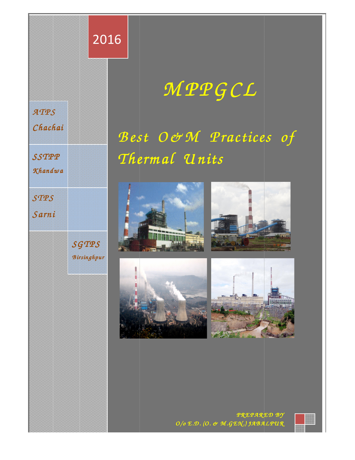

# *M P PG CL*

# Best O&M Practices of *Therm al U nits nits*







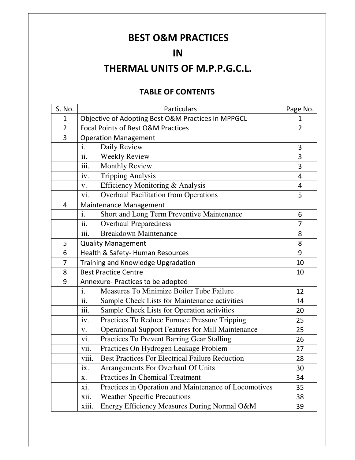# **BEST O&M PRACTICES**

## **IN**

# **THERMAL UNITS OF M.P.P.G.C.L.**

#### **TABLE OF CONTENTS**

| S. No.         | <b>Particulars</b>                                                       | Page No.       |
|----------------|--------------------------------------------------------------------------|----------------|
| $\mathbf 1$    | Objective of Adopting Best O&M Practices in MPPGCL                       | 1              |
| $\overline{2}$ | <b>Focal Points of Best O&amp;M Practices</b>                            | $\overline{2}$ |
| 3              | <b>Operation Management</b>                                              |                |
|                | Daily Review<br>i.                                                       | 3              |
|                | $\overline{ii}$ .<br><b>Weekly Review</b>                                | 3              |
|                | $\overline{\text{iii}}$ .<br><b>Monthly Review</b>                       | 3              |
|                | iv.<br><b>Tripping Analysis</b>                                          | 4              |
|                | Efficiency Monitoring & Analysis<br>V.                                   | 4              |
|                | vi.<br><b>Overhaul Facilitation from Operations</b>                      | 5              |
| 4              | Maintenance Management                                                   |                |
|                | Short and Long Term Preventive Maintenance<br>i.                         | 6              |
|                | $\overline{ii}$ .<br><b>Overhaul Preparedness</b>                        | 7              |
|                | <b>Breakdown Maintenance</b><br>iii.                                     | 8              |
| 5              | <b>Quality Management</b>                                                | 8              |
| 6              | Health & Safety- Human Resources                                         | 9              |
| $\overline{7}$ | Training and Knowledge Upgradation                                       | 10             |
| 8              | <b>Best Practice Centre</b>                                              | 10             |
| 9              | Annexure- Practices to be adopted                                        |                |
|                | Measures To Minimize Boiler Tube Failure<br>i.                           | 12             |
|                | ii.<br>Sample Check Lists for Maintenance activities                     | 14             |
|                | $\overline{\text{iii}}$ .<br>Sample Check Lists for Operation activities | 20             |
|                | iv.<br>Practices To Reduce Furnace Pressure Tripping                     | 25             |
|                | Operational Support Features for Mill Maintenance<br>V.                  | 25             |
|                | vi.<br>Practices To Prevent Barring Gear Stalling                        | 26             |
|                | Practices On Hydrogen Leakage Problem<br>vii.                            | 27             |
|                | viii.<br><b>Best Practices For Electrical Failure Reduction</b>          | 28             |
|                | Arrangements For Overhaul Of Units<br>ix.                                | 30             |
|                | <b>Practices In Chemical Treatment</b><br>X.                             | 34             |
|                | Practices in Operation and Maintenance of Locomotives<br>xi.             | 35             |
|                | xii.<br><b>Weather Specific Precautions</b>                              | 38             |
|                | Energy Efficiency Measures During Normal O&M<br>xiii.                    | 39             |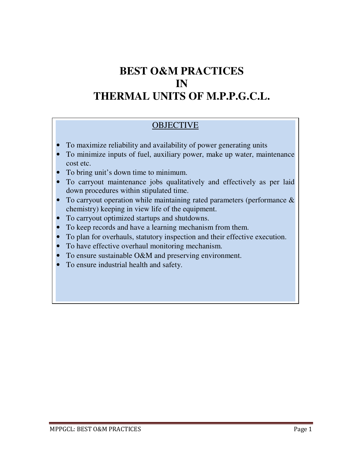# **BEST O&M PRACTICES IN THERMAL UNITS OF M.P.P.G.C.L.**

#### **OBJECTIVE**

- To maximize reliability and availability of power generating units
- To minimize inputs of fuel, auxiliary power, make up water, maintenance cost etc.
- To bring unit's down time to minimum.
- To carryout maintenance jobs qualitatively and effectively as per laid down procedures within stipulated time.
- To carryout operation while maintaining rated parameters (performance  $\&$ chemistry) keeping in view life of the equipment.
- To carryout optimized startups and shutdowns.
- To keep records and have a learning mechanism from them.
- To plan for overhauls, statutory inspection and their effective execution.
- To have effective overhaul monitoring mechanism.
- To ensure sustainable O&M and preserving environment.
- To ensure industrial health and safety.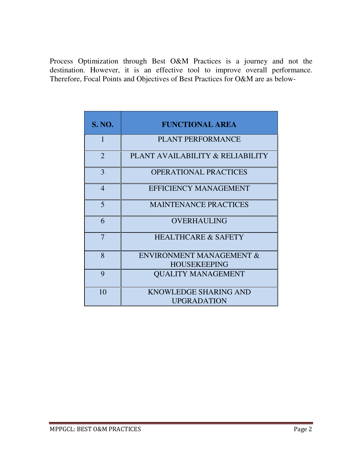Process Optimization through Best O&M Practices is a journey and not the destination. However, it is an effective tool to improve overall performance. Therefore, Focal Points and Objectives of Best Practices for O&M are as below-

| <b>S. NO.</b>           | <b>FUNCTIONAL AREA</b>                                     |
|-------------------------|------------------------------------------------------------|
| 1                       | <b>PLANT PERFORMANCE</b>                                   |
| $\overline{2}$          | PLANT AVAILABILITY & RELIABILITY                           |
| 3                       | <b>OPERATIONAL PRACTICES</b>                               |
| $\overline{4}$          | <b>EFFICIENCY MANAGEMENT</b>                               |
| $\overline{\mathbf{5}}$ | <b>MAINTENANCE PRACTICES</b>                               |
| 6                       | <b>OVERHAULING</b>                                         |
| $\overline{7}$          | <b>HEALTHCARE &amp; SAFETY</b>                             |
| 8                       | <b>ENVIRONMENT MANAGEMENT &amp;</b><br><b>HOUSEKEEPING</b> |
| 9                       | <b>OUALITY MANAGEMENT</b>                                  |
| 10                      | <b>KNOWLEDGE SHARING AND</b><br><b>UPGRADATION</b>         |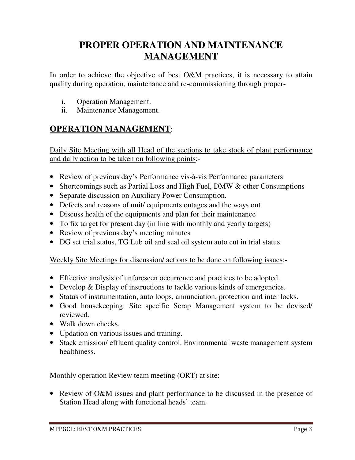# **PROPER OPERATION AND MAINTENANCE MANAGEMENT**

In order to achieve the objective of best O&M practices, it is necessary to attain quality during operation, maintenance and re-commissioning through proper-

- i. Operation Management.
- ii. Maintenance Management.

### **OPERATION MANAGEMENT**:

Daily Site Meeting with all Head of the sections to take stock of plant performance and daily action to be taken on following points:-

- Review of previous day's Performance vis-à-vis Performance parameters
- Shortcomings such as Partial Loss and High Fuel, DMW & other Consumptions
- Separate discussion on Auxiliary Power Consumption.
- Defects and reasons of unit/ equipments outages and the ways out
- Discuss health of the equipments and plan for their maintenance
- To fix target for present day (in line with monthly and yearly targets)
- Review of previous day's meeting minutes
- DG set trial status, TG Lub oil and seal oil system auto cut in trial status.

#### Weekly Site Meetings for discussion/ actions to be done on following issues:-

- Effective analysis of unforeseen occurrence and practices to be adopted.
- Develop & Display of instructions to tackle various kinds of emergencies.
- Status of instrumentation, auto loops, annunciation, protection and inter locks.
- Good housekeeping. Site specific Scrap Management system to be devised/ reviewed.
- Walk down checks.
- Updation on various issues and training.
- Stack emission/ effluent quality control. Environmental waste management system healthiness.

#### Monthly operation Review team meeting (ORT) at site:

• Review of O&M issues and plant performance to be discussed in the presence of Station Head along with functional heads' team.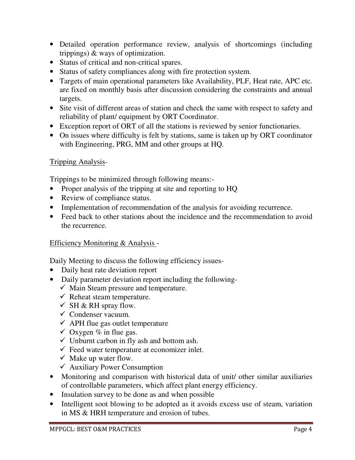- Detailed operation performance review, analysis of shortcomings (including trippings) & ways of optimization.
- Status of critical and non-critical spares.
- Status of safety compliances along with fire protection system.
- Targets of main operational parameters like Availability, PLF, Heat rate, APC etc. are fixed on monthly basis after discussion considering the constraints and annual targets.
- Site visit of different areas of station and check the same with respect to safety and reliability of plant/ equipment by ORT Coordinator.
- Exception report of ORT of all the stations is reviewed by senior functionaries.
- On issues where difficulty is felt by stations, same is taken up by ORT coordinator with Engineering, PRG, MM and other groups at HQ.

#### Tripping Analysis-

Trippings to be minimized through following means:-

- Proper analysis of the tripping at site and reporting to HQ
- Review of compliance status.
- Implementation of recommendation of the analysis for avoiding recurrence.
- Feed back to other stations about the incidence and the recommendation to avoid the recurrence.

#### Efficiency Monitoring & Analysis -

Daily Meeting to discuss the following efficiency issues-

- Daily heat rate deviation report
- Daily parameter deviation report including the following-
	- $\checkmark$  Main Steam pressure and temperature.
	- $\checkmark$  Reheat steam temperature.
	- $\checkmark$  SH & RH spray flow.
	- $\checkmark$  Condenser vacuum.
	- $\checkmark$  APH flue gas outlet temperature
	- $\checkmark$  Oxygen % in flue gas.
	- $\checkmark$  Unburnt carbon in fly ash and bottom ash.
	- $\checkmark$  Feed water temperature at economizer inlet.
	- $\checkmark$  Make up water flow.
	- $\checkmark$  Auxiliary Power Consumption
- Monitoring and comparison with historical data of unit/ other similar auxiliaries of controllable parameters, which affect plant energy efficiency.
- Insulation survey to be done as and when possible
- Intelligent soot blowing to be adopted as it avoids excess use of steam, variation in MS & HRH temperature and erosion of tubes.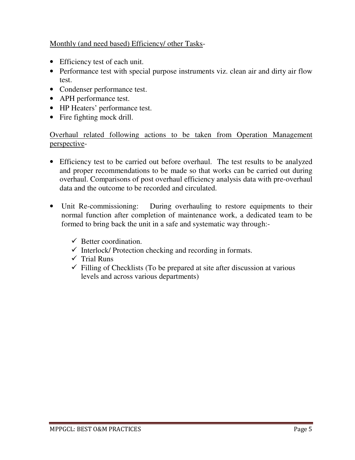#### Monthly (and need based) Efficiency/ other Tasks-

- Efficiency test of each unit.
- Performance test with special purpose instruments viz. clean air and dirty air flow test.
- Condenser performance test.
- APH performance test.
- HP Heaters' performance test.
- Fire fighting mock drill.

Overhaul related following actions to be taken from Operation Management perspective-

- Efficiency test to be carried out before overhaul. The test results to be analyzed and proper recommendations to be made so that works can be carried out during overhaul. Comparisons of post overhaul efficiency analysis data with pre-overhaul data and the outcome to be recorded and circulated.
- Unit Re-commissioning: During overhauling to restore equipments to their normal function after completion of maintenance work, a dedicated team to be formed to bring back the unit in a safe and systematic way through:-
	- $\checkmark$  Better coordination.
	- $\checkmark$  Interlock/ Protection checking and recording in formats.
	- $\checkmark$  Trial Runs
	- $\checkmark$  Filling of Checklists (To be prepared at site after discussion at various levels and across various departments)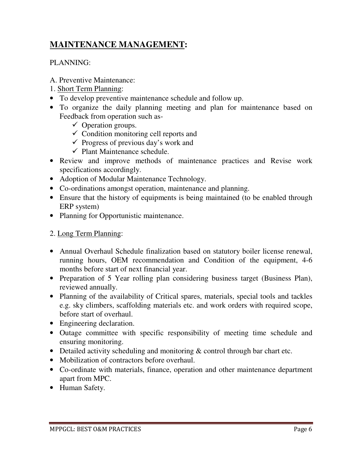### **MAINTENANCE MANAGEMENT:**

#### PLANNING:

- A. Preventive Maintenance:
- 1. Short Term Planning:
- To develop preventive maintenance schedule and follow up.
- To organize the daily planning meeting and plan for maintenance based on Feedback from operation such as-
	- $\checkmark$  Operation groups.
	- $\checkmark$  Condition monitoring cell reports and
	- $\checkmark$  Progress of previous day's work and
	- $\checkmark$  Plant Maintenance schedule.
- Review and improve methods of maintenance practices and Revise work specifications accordingly.
- Adoption of Modular Maintenance Technology.
- Co-ordinations amongst operation, maintenance and planning.
- Ensure that the history of equipments is being maintained (to be enabled through ERP system)
- Planning for Opportunistic maintenance.

#### 2. Long Term Planning:

- Annual Overhaul Schedule finalization based on statutory boiler license renewal, running hours, OEM recommendation and Condition of the equipment, 4-6 months before start of next financial year.
- Preparation of 5 Year rolling plan considering business target (Business Plan), reviewed annually.
- Planning of the availability of Critical spares, materials, special tools and tackles e.g. sky climbers, scaffolding materials etc. and work orders with required scope, before start of overhaul.
- Engineering declaration.
- Outage committee with specific responsibility of meeting time schedule and ensuring monitoring.
- Detailed activity scheduling and monitoring  $&$  control through bar chart etc.
- Mobilization of contractors before overhaul.
- Co-ordinate with materials, finance, operation and other maintenance department apart from MPC.
- Human Safety.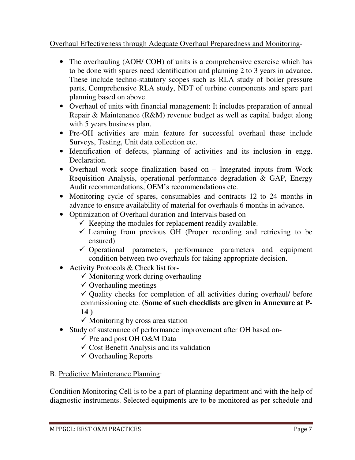#### Overhaul Effectiveness through Adequate Overhaul Preparedness and Monitoring-

- The overhauling (AOH/ COH) of units is a comprehensive exercise which has to be done with spares need identification and planning 2 to 3 years in advance. These include techno-statutory scopes such as RLA study of boiler pressure parts, Comprehensive RLA study, NDT of turbine components and spare part planning based on above.
- Overhaul of units with financial management: It includes preparation of annual Repair & Maintenance (R&M) revenue budget as well as capital budget along with 5 years business plan.
- Pre-OH activities are main feature for successful overhaul these include Surveys, Testing, Unit data collection etc.
- Identification of defects, planning of activities and its inclusion in engg. Declaration.
- Overhaul work scope finalization based on Integrated inputs from Work Requisition Analysis, operational performance degradation & GAP, Energy Audit recommendations, OEM's recommendations etc.
- Monitoring cycle of spares, consumables and contracts 12 to 24 months in advance to ensure availability of material for overhauls 6 months in advance.
- Optimization of Overhaul duration and Intervals based on
	- $\checkmark$  Keeping the modules for replacement readily available.
	- $\checkmark$  Learning from previous OH (Proper recording and retrieving to be ensured)
	- $\checkmark$  Operational parameters, performance parameters and equipment condition between two overhauls for taking appropriate decision.
- Activity Protocols & Check list for-
	- $\checkmark$  Monitoring work during overhauling
	- $\checkmark$  Overhauling meetings
	- $\checkmark$  Quality checks for completion of all activities during overhaul/ before commissioning etc. **(Some of such checklists are given in Annexure at P-14 )**
	- $\checkmark$  Monitoring by cross area station
- Study of sustenance of performance improvement after OH based on-
	- $\checkmark$  Pre and post OH O&M Data
	- $\checkmark$  Cost Benefit Analysis and its validation
	- $\checkmark$  Overhauling Reports

#### B. Predictive Maintenance Planning:

Condition Monitoring Cell is to be a part of planning department and with the help of diagnostic instruments. Selected equipments are to be monitored as per schedule and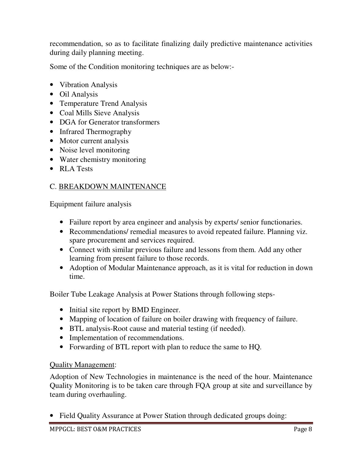recommendation, so as to facilitate finalizing daily predictive maintenance activities during daily planning meeting.

Some of the Condition monitoring techniques are as below:-

- Vibration Analysis
- Oil Analysis
- Temperature Trend Analysis
- Coal Mills Sieve Analysis
- DGA for Generator transformers
- Infrared Thermography
- Motor current analysis
- Noise level monitoring
- Water chemistry monitoring
- RLA Tests

#### C. BREAKDOWN MAINTENANCE

Equipment failure analysis

- Failure report by area engineer and analysis by experts/ senior functionaries.
- Recommendations/ remedial measures to avoid repeated failure. Planning viz. spare procurement and services required.
- Connect with similar previous failure and lessons from them. Add any other learning from present failure to those records.
- Adoption of Modular Maintenance approach, as it is vital for reduction in down time.

Boiler Tube Leakage Analysis at Power Stations through following steps-

- Initial site report by BMD Engineer.
- Mapping of location of failure on boiler drawing with frequency of failure.
- BTL analysis-Root cause and material testing (if needed).
- Implementation of recommendations.
- Forwarding of BTL report with plan to reduce the same to HQ.

#### Quality Management:

Adoption of New Technologies in maintenance is the need of the hour. Maintenance Quality Monitoring is to be taken care through FQA group at site and surveillance by team during overhauling.

• Field Quality Assurance at Power Station through dedicated groups doing: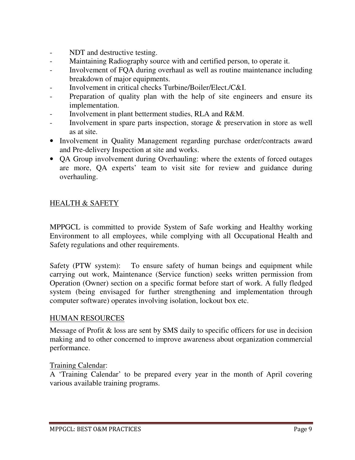- NDT and destructive testing.
- Maintaining Radiography source with and certified person, to operate it.
- Involvement of FQA during overhaul as well as routine maintenance including breakdown of major equipments.
- Involvement in critical checks Turbine/Boiler/Elect./C&I.
- Preparation of quality plan with the help of site engineers and ensure its implementation.
- Involvement in plant betterment studies, RLA and R&M.
- Involvement in spare parts inspection, storage  $\&$  preservation in store as well as at site.
- Involvement in Quality Management regarding purchase order/contracts award and Pre-delivery Inspection at site and works.
- QA Group involvement during Overhauling: where the extents of forced outages are more, QA experts' team to visit site for review and guidance during overhauling.

#### HEALTH & SAFETY

MPPGCL is committed to provide System of Safe working and Healthy working Environment to all employees, while complying with all Occupational Health and Safety regulations and other requirements.

Safety (PTW system): To ensure safety of human beings and equipment while carrying out work, Maintenance (Service function) seeks written permission from Operation (Owner) section on a specific format before start of work. A fully fledged system (being envisaged for further strengthening and implementation through computer software) operates involving isolation, lockout box etc.

#### HUMAN RESOURCES

Message of Profit & loss are sent by SMS daily to specific officers for use in decision making and to other concerned to improve awareness about organization commercial performance.

#### Training Calendar:

A 'Training Calendar' to be prepared every year in the month of April covering various available training programs.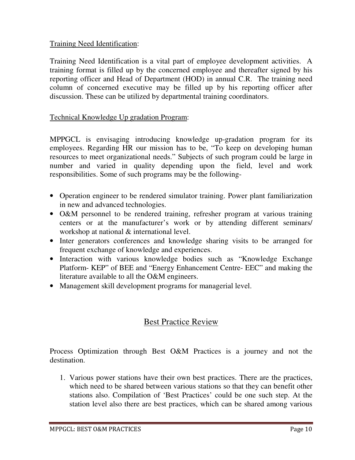#### Training Need Identification:

Training Need Identification is a vital part of employee development activities. A training format is filled up by the concerned employee and thereafter signed by his reporting officer and Head of Department (HOD) in annual C.R. The training need column of concerned executive may be filled up by his reporting officer after discussion. These can be utilized by departmental training coordinators.

#### Technical Knowledge Up gradation Program:

MPPGCL is envisaging introducing knowledge up-gradation program for its employees. Regarding HR our mission has to be, "To keep on developing human resources to meet organizational needs." Subjects of such program could be large in number and varied in quality depending upon the field, level and work responsibilities. Some of such programs may be the following-

- Operation engineer to be rendered simulator training. Power plant familiarization in new and advanced technologies.
- O&M personnel to be rendered training, refresher program at various training centers or at the manufacturer's work or by attending different seminars/ workshop at national & international level.
- Inter generators conferences and knowledge sharing visits to be arranged for frequent exchange of knowledge and experiences.
- Interaction with various knowledge bodies such as "Knowledge Exchange Platform- KEP" of BEE and "Energy Enhancement Centre- EEC" and making the literature available to all the O&M engineers.
- Management skill development programs for managerial level.

#### Best Practice Review

Process Optimization through Best O&M Practices is a journey and not the destination.

1. Various power stations have their own best practices. There are the practices, which need to be shared between various stations so that they can benefit other stations also. Compilation of 'Best Practices' could be one such step. At the station level also there are best practices, which can be shared among various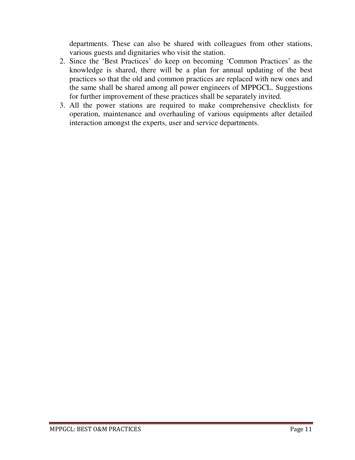departments. These can also be shared with colleagues from other stations, various guests and dignitaries who visit the station.

- 2. Since the 'Best Practices' do keep on becoming 'Common Practices' as the knowledge is shared, there will be a plan for annual updating of the best practices so that the old and common practices are replaced with new ones and the same shall be shared among all power engineers of MPPGCL. Suggestions for further improvement of these practices shall be separately invited.
- 3. All the power stations are required to make comprehensive checklists for operation, maintenance and overhauling of various equipments after detailed interaction amongst the experts, user and service departments.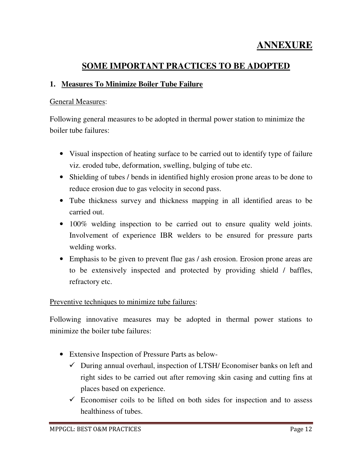# **ANNEXURE**

### **SOME IMPORTANT PRACTICES TO BE ADOPTED**

#### **1. Measures To Minimize Boiler Tube Failure**

#### General Measures:

Following general measures to be adopted in thermal power station to minimize the boiler tube failures:

- Visual inspection of heating surface to be carried out to identify type of failure viz. eroded tube, deformation, swelling, bulging of tube etc.
- Shielding of tubes / bends in identified highly erosion prone areas to be done to reduce erosion due to gas velocity in second pass.
- Tube thickness survey and thickness mapping in all identified areas to be carried out.
- 100% welding inspection to be carried out to ensure quality weld joints. Involvement of experience IBR welders to be ensured for pressure parts welding works.
- Emphasis to be given to prevent flue gas / ash erosion. Erosion prone areas are to be extensively inspected and protected by providing shield / baffles, refractory etc.

#### Preventive techniques to minimize tube failures:

Following innovative measures may be adopted in thermal power stations to minimize the boiler tube failures:

- Extensive Inspection of Pressure Parts as below-
	- $\checkmark$  During annual overhaul, inspection of LTSH/ Economiser banks on left and right sides to be carried out after removing skin casing and cutting fins at places based on experience.
	- $\checkmark$  Economiser coils to be lifted on both sides for inspection and to assess healthiness of tubes.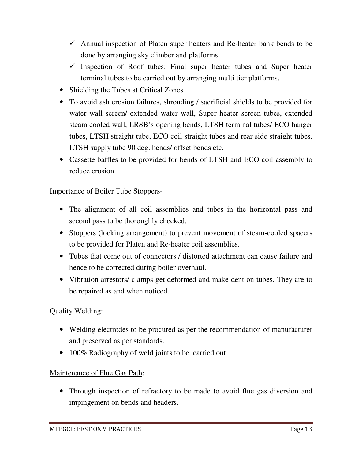- $\checkmark$  Annual inspection of Platen super heaters and Re-heater bank bends to be done by arranging sky climber and platforms.
- $\checkmark$  Inspection of Roof tubes: Final super heater tubes and Super heater terminal tubes to be carried out by arranging multi tier platforms.
- Shielding the Tubes at Critical Zones
- To avoid ash erosion failures, shrouding / sacrificial shields to be provided for water wall screen/ extended water wall, Super heater screen tubes, extended steam cooled wall, LRSB's opening bends, LTSH terminal tubes/ ECO hanger tubes, LTSH straight tube, ECO coil straight tubes and rear side straight tubes. LTSH supply tube 90 deg. bends/ offset bends etc.
- Cassette baffles to be provided for bends of LTSH and ECO coil assembly to reduce erosion.

#### Importance of Boiler Tube Stoppers-

- The alignment of all coil assemblies and tubes in the horizontal pass and second pass to be thoroughly checked.
- Stoppers (locking arrangement) to prevent movement of steam-cooled spacers to be provided for Platen and Re-heater coil assemblies.
- Tubes that come out of connectors / distorted attachment can cause failure and hence to be corrected during boiler overhaul.
- Vibration arrestors/ clamps get deformed and make dent on tubes. They are to be repaired as and when noticed.

#### Quality Welding:

- Welding electrodes to be procured as per the recommendation of manufacturer and preserved as per standards.
- 100% Radiography of weld joints to be carried out

#### Maintenance of Flue Gas Path:

• Through inspection of refractory to be made to avoid flue gas diversion and impingement on bends and headers.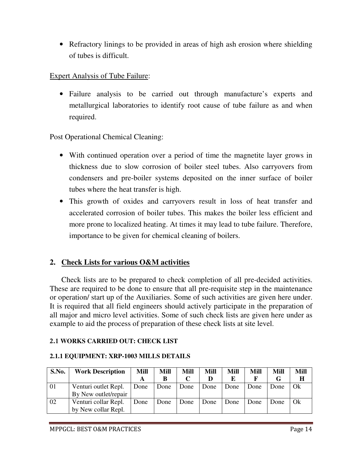• Refractory linings to be provided in areas of high ash erosion where shielding of tubes is difficult.

#### Expert Analysis of Tube Failure:

• Failure analysis to be carried out through manufacture's experts and metallurgical laboratories to identify root cause of tube failure as and when required.

Post Operational Chemical Cleaning:

- With continued operation over a period of time the magnetite layer grows in thickness due to slow corrosion of boiler steel tubes. Also carryovers from condensers and pre-boiler systems deposited on the inner surface of boiler tubes where the heat transfer is high.
- This growth of oxides and carryovers result in loss of heat transfer and accelerated corrosion of boiler tubes. This makes the boiler less efficient and more prone to localized heating. At times it may lead to tube failure. Therefore, importance to be given for chemical cleaning of boilers.

#### **2. Check Lists for various O&M activities**

Check lists are to be prepared to check completion of all pre-decided activities. These are required to be done to ensure that all pre-requisite step in the maintenance or operation/ start up of the Auxiliaries. Some of such activities are given here under. It is required that all field engineers should actively participate in the preparation of all major and micro level activities. Some of such check lists are given here under as example to aid the process of preparation of these check lists at site level.

#### **2.1 WORKS CARRIED OUT: CHECK LIST**

| S.No. | <b>Work Description</b> | <b>Mill</b> | Mill | Mill | Mill | Mill | Mill | Mill | <b>Mill</b> |
|-------|-------------------------|-------------|------|------|------|------|------|------|-------------|
|       |                         |             | в    |      |      |      |      |      | $\bf H$     |
| 01    | Venturi outlet Repl.    | Done        | Done | Done | Done | Done | Done | Done | - Ok        |
|       | By New outlet/repair    |             |      |      |      |      |      |      |             |
| 02    | Venturi collar Repl.    | Done        | Done | Done | Done | Done | Done | Done | - Ok        |
|       | by New collar Repl.     |             |      |      |      |      |      |      |             |

#### **2.1.1 EQUIPMENT: XRP-1003 MILLS DETAILS**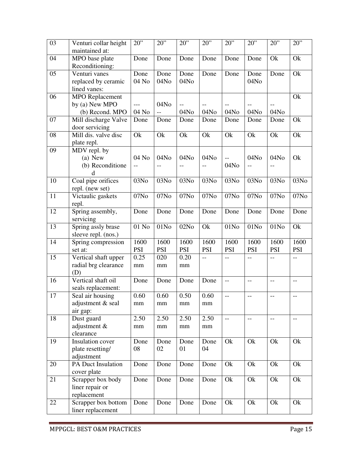| 03<br>$20$ "<br>20"<br>20"<br>20"<br>$20$ "<br>$20$ "<br>Venturi collar height                         | 20"<br>20                                  |
|--------------------------------------------------------------------------------------------------------|--------------------------------------------|
| maintained at:                                                                                         |                                            |
| 04<br>MPO base plate<br>Done<br>Done<br>Done<br>Done<br>Done<br>Reconditioning:                        | Ok<br>Ok<br>Done                           |
| 05<br>Venturi vanes<br>Done<br>Done<br>Done<br>Done<br>Done                                            | Ok<br>Done<br>Done                         |
| replaced by ceramic<br>04 No<br>04No<br>04No                                                           | 04N <sub>0</sub>                           |
| lined vanes:                                                                                           |                                            |
| 06<br><b>MPO</b> Replacement                                                                           | Ok                                         |
| 04N <sub>0</sub><br>by (a) New MPO<br>---<br>$-$                                                       |                                            |
| 04 No<br>04N <sub>0</sub><br>(b) Recond. MPO<br>04No<br>04No<br>$-$                                    | 04No<br>04N <sub>0</sub>                   |
| 07<br>Mill discharge Valve<br>Done<br>Done<br>Done<br>Done<br>Done                                     | Ok<br>Done<br>Done                         |
| door servicing                                                                                         |                                            |
| 08<br>Ok<br>Mill dis. valve disc<br>Ok<br>Ok<br>Ok<br>Ok<br>Ok                                         | Ok<br>Ok                                   |
| plate repl.                                                                                            |                                            |
| $\overline{09}$<br>MDV repl. by                                                                        |                                            |
| 04 No<br>04No<br>$(a)$ New<br>04No<br>04No<br>$-$                                                      | 04No<br>04N <sub>0</sub><br>Ok             |
| (b) Reconditione<br>04No<br>$-$<br>$-$<br>$-$<br>$- -$<br>$-$                                          | $-$                                        |
| d                                                                                                      |                                            |
| Coal pipe orifices<br>03No<br>10<br>03No<br>03No<br>03No<br>03No                                       | 03No<br>03No<br>03No                       |
| repl. (new set)                                                                                        |                                            |
| 11<br>07No<br>07No<br>07No<br>Victaulic gaskets<br>07No<br>07No                                        | 07N <sub>0</sub><br>07No<br>07No           |
| repl.                                                                                                  |                                            |
| 12<br>Spring assembly,<br>Done<br>Done<br>Done<br>Done<br>Done                                         | Done<br>Done<br>Done                       |
| servicing                                                                                              |                                            |
| 13<br>Spring assly brase<br>01 No<br>01N <sub>0</sub><br>02No<br>Ok<br>01N <sub>0</sub>                | 01N <sub>0</sub><br>01N <sub>0</sub><br>Ok |
| sleeve repl. (nos.)                                                                                    |                                            |
| 14<br>1600<br>1600<br>1600<br>1600<br>1600<br>Spring compression                                       | 1600<br>1600<br>1600                       |
| <b>PSI</b><br><b>PSI</b><br><b>PSI</b><br><b>PSI</b><br><b>PSI</b><br><b>PSI</b><br>set at:            | <b>PSI</b><br><b>PSI</b>                   |
| Vertical shaft upper<br>15<br>0.25<br>020<br>0.20<br>$\overline{a}$<br><u></u><br>$-$                  | $-$<br>$\overline{\phantom{a}}$            |
| radial brg clearance<br>$\rm mm$<br>mm<br>mm                                                           |                                            |
| (D)                                                                                                    |                                            |
| Vertical shaft oil<br>16<br>Done<br>Done<br>Done<br>Done<br>$\overline{\phantom{m}}$<br>$\overline{a}$ | $\overline{a}$<br>$\overline{\phantom{m}}$ |
| seals replacement:                                                                                     |                                            |
| 17<br>0.60<br>0.60<br>0.50<br>0.60<br>Seal air housing<br>$\qquad \qquad -$<br>$-$                     | $-$<br>$\overline{\phantom{m}}$            |
| adjustment & seal<br>mm<br>mm<br>mm<br>$\rm mm$                                                        |                                            |
| air gap:                                                                                               |                                            |
| 18<br>Dust guard<br>2.50<br>2.50<br>2.50<br>2.50<br>$-\,-$<br>$-$                                      | $\overline{\phantom{a}}$<br>$-\,-$         |
| adjustment &<br>mm<br>mm<br>$\rm mm$<br>$\rm mm$                                                       |                                            |
| clearance<br>19<br>Insulation cover<br>Ok<br>Ok<br>Done                                                | Ok<br>Ok                                   |
| Done<br>Done<br>Done<br>08<br>02<br>01<br>04                                                           |                                            |
| plate resetting/<br>adjustment                                                                         |                                            |
| PA Duct Insulation<br>Ok<br>20<br>Done<br>Done<br>Ok<br>Done<br>Done                                   | Ok<br>Ok                                   |
| cover plate                                                                                            |                                            |
| 21<br>Ok<br>Scrapper box body<br>Ok<br>Done<br>Done<br>Done<br>Done                                    | Ok<br>Ok                                   |
| liner repair or                                                                                        |                                            |
| replacement                                                                                            |                                            |
| 22<br>Scrapper box bottom<br>Ok<br>Done<br>Done<br>Done<br>Done<br>Ok                                  | Ok<br>Ok                                   |
| liner replacement                                                                                      |                                            |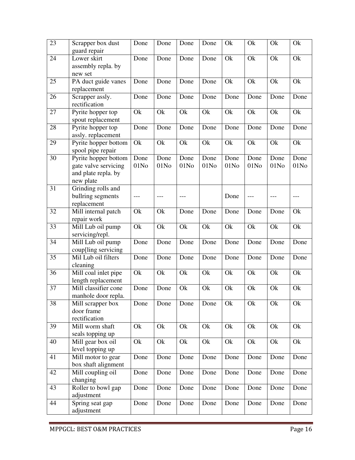| $\overline{23}$ | Scrapper box dust<br>guard repair                                                | Done         | Done                     | Done                     | Done                     | Ok                       | Ok                       | Ok                       | Ok                       |
|-----------------|----------------------------------------------------------------------------------|--------------|--------------------------|--------------------------|--------------------------|--------------------------|--------------------------|--------------------------|--------------------------|
| 24              | Lower skirt<br>assembly repla. by<br>new set                                     | Done         | Done                     | Done                     | Done                     | Ok                       | Ok                       | Ok                       | Ok                       |
| 25              | PA duct guide vanes<br>replacement                                               | Done         | Done                     | Done                     | Done                     | Ok                       | Ok                       | Ok                       | Ok                       |
| 26              | Scrapper assly.<br>rectification                                                 | Done         | Done                     | Done                     | Done                     | Done                     | Done                     | Done                     | Done                     |
| 27              | Pyrite hopper top<br>spout replacement                                           | Ok           | Ok                       | Ok                       | Ok                       | Ok                       | Ok                       | Ok                       | Ok                       |
| 28              | Pyrite hopper top<br>assly. replacement                                          | Done         | Done                     | Done                     | Done                     | Done                     | Done                     | Done                     | Done                     |
| 29              | Pyrite hopper bottom<br>spool pipe repair                                        | Ok           | Ok                       | Ok                       | Ok                       | Ok                       | Ok                       | Ok                       | Ok                       |
| 30              | Pyrite hopper bottom<br>gate valve servicing<br>and plate repla. by<br>new plate | Done<br>01No | Done<br>01N <sub>0</sub> | Done<br>01N <sub>0</sub> | Done<br>01N <sub>0</sub> | Done<br>01N <sub>0</sub> | Done<br>01N <sub>0</sub> | Done<br>01N <sub>0</sub> | Done<br>01N <sub>0</sub> |
| 31              | Grinding rolls and<br>bullring segments<br>replacement                           | ---          | ---                      | ---                      |                          | Done                     | ---                      |                          | ---                      |
| 32              | Mill internal patch<br>repair work                                               | Ok           | Ok                       | Done                     | Done                     | Done                     | Done                     | Done                     | Ok                       |
| 33              | Mill Lub oil pump<br>servicing/repl.                                             | Ok           | Ok                       | Ok                       | Ok                       | Ok                       | Ok                       | Ok                       | Ok                       |
| 34              | Mill Lub oil pump<br>coup[ling servicing                                         | Done         | Done                     | Done                     | Done                     | Done                     | Done                     | Done                     | Done                     |
| 35              | Mil Lub oil filters<br>cleaning                                                  | Done         | Done                     | Done                     | Done                     | Done                     | Done                     | Done                     | Done                     |
| 36              | Mill coal inlet pipe<br>length replacement                                       | Ok           | Ok                       | Ok                       | Ok                       | Ok                       | Ok                       | Ok                       | Ok                       |
| 37              | Mill classifier cone<br>manhole door repla.                                      | Done         | Done                     | Ok                       | Ok                       | Ok                       | Ok                       | Ok                       | Ok                       |
| 38              | Mill scrapper box<br>door frame<br>rectification                                 | Done         | Done                     | Done                     | Done                     | Ok                       | Ok                       | Ok                       | Ok                       |
| 39              | Mill worm shaft<br>seals topping up                                              | Ok           | Ok                       | Ok                       | Ok                       | Ok                       | Ok                       | Ok                       | Ok                       |
| 40              | Mill gear box oil<br>level topping up                                            | Ok           | Ok                       | Ok                       | Ok                       | Ok                       | Ok                       | Ok                       | Ok                       |
| 41              | Mill motor to gear<br>box shaft alignment                                        | Done         | Done                     | Done                     | Done                     | Done                     | Done                     | Done                     | Done                     |
| 42              | Mill coupling oil<br>changing                                                    | Done         | Done                     | Done                     | Done                     | Done                     | Done                     | Done                     | Done                     |
| 43              | Roller to bowl gap<br>adjustment                                                 | Done         | Done                     | Done                     | Done                     | Done                     | Done                     | Done                     | Done                     |
| 44              | Spring seat gap<br>adjustment                                                    | Done         | Done                     | Done                     | Done                     | Done                     | Done                     | Done                     | Done                     |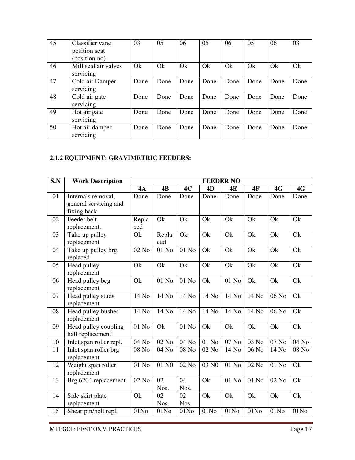| 45 | Classifier vane<br>position seat<br>(position no) | 03   | 05   | 06   | 05   | 06   | 05   | 06   | 03   |
|----|---------------------------------------------------|------|------|------|------|------|------|------|------|
| 46 | Mill seal air valves<br>servicing                 | Ok   | Ok   | Ok   | Ok   | Ok   | Ok   | Ok   | Ok   |
| 47 | Cold air Damper<br>servicing                      | Done | Done | Done | Done | Done | Done | Done | Done |
| 48 | Cold air gate<br>servicing                        | Done | Done | Done | Done | Done | Done | Done | Done |
| 49 | Hot air gate<br>servicing                         | Done | Done | Done | Done | Done | Done | Done | Done |
| 50 | Hot air damper<br>servicing                       | Done | Done | Done | Done | Done | Done | Done | Done |

#### **2.1.2 EQUIPMENT: GRAVIMETRIC FEEDERS:**

| S.N | <b>Work Description</b>                                    |                  |                  |                  |                    | <b>FEEDER NO</b> |                  |                     |                  |
|-----|------------------------------------------------------------|------------------|------------------|------------------|--------------------|------------------|------------------|---------------------|------------------|
|     |                                                            | 4A               | 4B               | 4C               | 4D                 | 4E               | <b>4F</b>        | 4G                  | 4G               |
| 01  | Internals removal,<br>general servicing and<br>fixing back | Done             | Done             | Done             | Done               | Done             | Done             | Done                | Done             |
| 02  | Feeder belt<br>replacement.                                | Repla<br>ced     | Ok               | Ok               | Ok                 | Ok               | Ok               | Ok                  | Ok               |
| 03  | Take up pulley<br>replacement                              | Ok               | Repla<br>ced     | Ok               | Ok                 | Ok               | Ok               | Ok                  | Ok               |
| 04  | Take up pulley brg<br>replaced                             | 02 No            | 01 No            | 01 No            | Ok                 | Ok               | Ok               | Ok                  | Ok               |
| 05  | Head pulley<br>replacement                                 | Ok               | Ok               | Ok               | Ok                 | Ok               | Ok               | Ok                  | Ok               |
| 06  | Head pulley beg<br>replacement                             | Ok               | 01 No            | 01 No            | Ok                 | 01 No            | Ok               | Ok                  | Ok               |
| 07  | Head pulley studs<br>replacement                           | 14 No            | 14 No            | 14 No            | 14 No              | 14 No            | 14 No            | 06 No               | Ok               |
| 08  | Head pulley bushes<br>replacement                          | 14 No            | 14 No            | 14 No            | 14 No              | 14 No            | 14 No            | 06 No               | Ok               |
| 09  | Head pulley coupling<br>half replacement                   | 01 No            | Ok               | 01 No            | Ok                 | Ok               | Ok               | Ok                  | Ok               |
| 10  | Inlet span roller repl.                                    | 04 No            | $02$ No $\,$     | 04 No            | $01$ $\mathrm{No}$ | 07 No            | 03 No            | $\overline{0}$ 7 No | 04 No            |
| 11  | Inlet span roller brg<br>replacement                       | 08 No            | 04 No            | 08 No            | 02 No              | 14 No            | 06 No            | 14 No               | 08 No            |
| 12  | Weight span roller<br>replacement                          | 01 No            | 01 NO            | 02 No            | 03 NO              | 01 No            | 02 No            | 01 No               | Ok               |
| 13  | Brg 6204 replacement                                       | 02 No            | 02<br>Nos.       | 04<br>Nos.       | Ok                 | 01 No            | 01 No            | 02 No               | Ok               |
| 14  | Side skirt plate<br>replacement                            | Ok               | 02<br>Nos.       | 02<br>Nos.       | Ok                 | Ok               | Ok               | Ok                  | Ok               |
| 15  | Shear pin/bolt repl.                                       | 01N <sub>0</sub> | 01N <sub>0</sub> | 01N <sub>0</sub> | 01N <sub>0</sub>   | 01N <sub>0</sub> | 01N <sub>0</sub> | 01N <sub>0</sub>    | 01N <sub>0</sub> |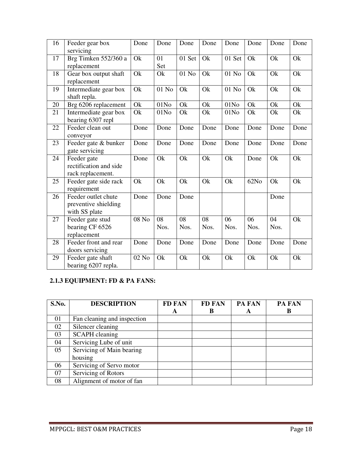| 16 | Feeder gear box<br>servicing                                 | Done         | Done             | Done       | Done       | Done             | Done       | Done       | Done |
|----|--------------------------------------------------------------|--------------|------------------|------------|------------|------------------|------------|------------|------|
| 17 | Brg Timken 552/360 a<br>replacement                          | Ok           | 01<br>Set        | 01 Set     | Ok         | 01 Set           | Ok         | Ok         | Ok   |
| 18 | Gear box output shaft<br>replacement                         | Ok           | Ok               | 01 No      | Ok         | 01 No            | Ok         | Ok         | Ok   |
| 19 | Intermediate gear box<br>shaft repla.                        | Ok           | 01 No            | Ok         | Ok         | 01 No            | Ok         | Ok         | Ok   |
| 20 | Brg 6206 replacement                                         | Ok           | 01N <sub>0</sub> | Ok         | Ok         | 01N <sub>0</sub> | Ok         | Ok         | Ok   |
| 21 | Intermediate gear box<br>bearing 6307 repl                   | Ok           | 01N <sub>0</sub> | Ok         | Ok         | 01N <sub>0</sub> | Ok         | Ok         | Ok   |
| 22 | Feeder clean out<br>conveyor                                 | Done         | Done             | Done       | Done       | Done             | Done       | Done       | Done |
| 23 | Feeder gate & bunker<br>gate servicing                       | Done         | Done             | Done       | Done       | Done             | Done       | Done       | Done |
| 24 | Feeder gate<br>rectification and side<br>rack replacement.   | Done         | Ok               | Ok         | Ok         | Ok               | Done       | Ok         | Ok   |
| 25 | Feeder gate side rack<br>requirement                         | Ok           | Ok               | Ok         | Ok         | Ok               | 62No       | Ok         | Ok   |
| 26 | Feeder outlet chute<br>preventive shielding<br>with SS plate | Done         | Done             | Done       |            |                  |            | Done       |      |
| 27 | Feeder gate stud<br>bearing CF 6526<br>replacement           | $08$ No $\,$ | 08<br>Nos.       | 08<br>Nos. | 08<br>Nos. | 06<br>Nos.       | 06<br>Nos. | 04<br>Nos. | Ok   |
| 28 | Feeder front and rear<br>doors servicing                     | Done         | Done             | Done       | Done       | Done             | Done       | Done       | Done |
| 29 | Feeder gate shaft<br>bearing 6207 repla.                     | 02 No        | Ok               | Ok         | Ok         | Ok               | Ok         | Ok         | Ok   |

#### **2.1.3 EQUIPMENT: FD & PA FANS:**

| S.No. | <b>DESCRIPTION</b>          | <b>FD FAN</b> | <b>FD FAN</b> | PA FAN | PA FAN |
|-------|-----------------------------|---------------|---------------|--------|--------|
|       |                             | A             | B             | A      | в      |
| 01    | Fan cleaning and inspection |               |               |        |        |
| 02    | Silencer cleaning           |               |               |        |        |
| 03    | <b>SCAPH</b> cleaning       |               |               |        |        |
| 04    | Servicing Lube of unit      |               |               |        |        |
| 05    | Servicing of Main bearing   |               |               |        |        |
|       | housing                     |               |               |        |        |
| 06    | Servicing of Servo motor    |               |               |        |        |
| 07    | Servicing of Rotors         |               |               |        |        |
| 08    | Alignment of motor of fan   |               |               |        |        |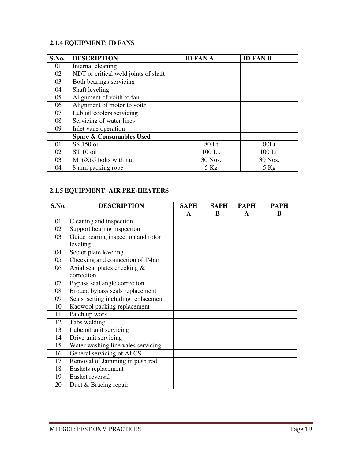#### **2.1.4 EQUIPMENT: ID FANS**

| S.No. | <b>DESCRIPTION</b>                                       | <b>ID FAN A</b> | <b>ID FAN B</b> |
|-------|----------------------------------------------------------|-----------------|-----------------|
| 01    | Internal cleaning                                        |                 |                 |
| 02    | $\overline{\text{NDT}}$ or critical weld joints of shaft |                 |                 |
| 03    | Both bearings servicing                                  |                 |                 |
| 04    | Shaft leveling                                           |                 |                 |
| 05    | Alignment of voith to fan                                |                 |                 |
| 06    | Alignment of motor to voith                              |                 |                 |
| 07    | Lub oil coolers servicing                                |                 |                 |
| 08    | Servicing of water lines                                 |                 |                 |
| 09    | Inlet vane operation                                     |                 |                 |
|       | <b>Spare &amp; Consumables Used</b>                      |                 |                 |
| 01    | SS 150 oil                                               | 80 Lt           | 80Lt            |
| 02    | ST <sub>10</sub> oil                                     | 100 Lt.         | 100 Lt.         |
| 03    | M16X65 bolts with nut                                    | 30 Nos.         | 30 Nos.         |
| 04    | 8 mm packing rope                                        | $5$ Kg          | $5$ Kg          |

#### **2.1.5 EQUIPMENT: AIR PRE-HEATERS**

| S.No. | <b>DESCRIPTION</b>                  | <b>SAPH</b> | <b>SAPH</b> | <b>PAPH</b> | <b>PAPH</b> |
|-------|-------------------------------------|-------------|-------------|-------------|-------------|
|       |                                     | A           | B           | A           | B           |
| 01    | Cleaning and inspection             |             |             |             |             |
| 02    | Support bearing inspection          |             |             |             |             |
| 03    | Guide bearing inspection and rotor  |             |             |             |             |
|       | leveling                            |             |             |             |             |
| 04    | Sector plate leveling               |             |             |             |             |
| 05    | Checking and connection of T-bar    |             |             |             |             |
| 06    | Axial seal plates checking $\&$     |             |             |             |             |
|       | correction                          |             |             |             |             |
| 07    | Bypass seal angle correction        |             |             |             |             |
| 08    | Broded bypass scals replacement     |             |             |             |             |
| 09    | Seals setting including replacement |             |             |             |             |
| 10    | Kaowool packing replacement         |             |             |             |             |
| 11    | Patch up work                       |             |             |             |             |
| 12    | Tabs welding                        |             |             |             |             |
| 13    | Lube oil unit servicing             |             |             |             |             |
| 14    | Drive unit servicing                |             |             |             |             |
| 15    | Water washing line vales servicing  |             |             |             |             |
| 16    | General servicing of ALCS           |             |             |             |             |
| 17    | Removal of Jamming in push rod      |             |             |             |             |
| 18    | <b>Baskets replacement</b>          |             |             |             |             |
| 19    | <b>Basket reversal</b>              |             |             |             |             |
| 20    | Duct & Bracing repair               |             |             |             |             |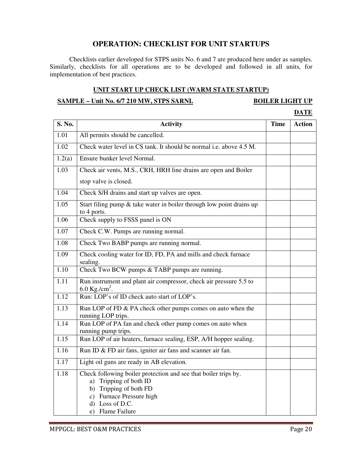#### **OPERATION: CHECKLIST FOR UNIT STARTUPS**

Checklists earlier developed for STPS units No. 6 and 7 are produced here under as samples. Similarly, checklists for all operations are to be developed and followed in all units, for implementation of best practices.

#### **UNIT START UP CHECK LIST (WARM STATE STARTUP)**

#### **SAMPLE – Unit No. 6/7 210 MW, STPS SARNI. BOILER LIGHT UP**

#### **DATE**

| S. No.            | <b>Activity</b>                                                                                                                                                                        | <b>Time</b> | <b>Action</b> |
|-------------------|----------------------------------------------------------------------------------------------------------------------------------------------------------------------------------------|-------------|---------------|
| 1.01              | All permits should be cancelled.                                                                                                                                                       |             |               |
| 1.02              | Check water level in CS tank. It should be normal i.e. above 4.5 M.                                                                                                                    |             |               |
| 1.2(a)            | Ensure bunker level Normal.                                                                                                                                                            |             |               |
| 1.03              | Check air vents, M.S., CRH, HRH line drains are open and Boiler                                                                                                                        |             |               |
|                   | stop valve is closed.                                                                                                                                                                  |             |               |
| 1.04              | Check S/H drains and start up valves are open.                                                                                                                                         |             |               |
| 1.05              | Start filing pump $&$ take water in boiler through low point drains up<br>to 4 ports.                                                                                                  |             |               |
| 1.06              | Check supply to FSSS panel is ON                                                                                                                                                       |             |               |
| 1.07              | Check C.W. Pumps are running normal.                                                                                                                                                   |             |               |
| 1.08              | Check Two BABP pumps are running normal.                                                                                                                                               |             |               |
| 1.09              | Check cooling water for ID, FD, PA and mills and check furnace<br>sealing.                                                                                                             |             |               |
| $\overline{1.10}$ | Check Two BCW pumps & TABP pumps are running.                                                                                                                                          |             |               |
| 1.11              | Run instrument and plant air compressor, check air pressure 5.5 to<br>6.0 Kg./cm <sup>2</sup> .                                                                                        |             |               |
| 1.12              | Run: LOP's of ID check auto start of LOP's.                                                                                                                                            |             |               |
| 1.13              | Run LOP of FD & PA check other pumps comes on auto when the<br>running LOP trips.                                                                                                      |             |               |
| 1.14              | Run LOP of PA fan and check other pump comes on auto when<br>running pump trips.                                                                                                       |             |               |
| 1.15              | Run LOP of air heaters, furnace sealing, ESP, A/H hopper sealing.                                                                                                                      |             |               |
| 1.16              | Run ID & FD air fans, igniter air fans and scanner air fan.                                                                                                                            |             |               |
| 1.17              | Light oil guns are ready in AB elevation.                                                                                                                                              |             |               |
| 1.18              | Check following boiler protection and see that boiler trips by.<br>a) Tripping of both ID<br>b) Tripping of both FD<br>c) Furnace Pressure high<br>d) Loss of D.C.<br>e) Flame Failure |             |               |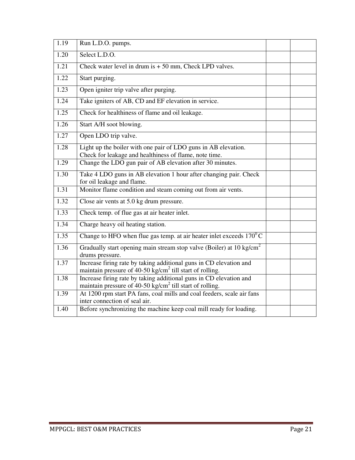| 1.19 | Run L.D.O. pumps.                                                                                                                          |  |  |  |  |
|------|--------------------------------------------------------------------------------------------------------------------------------------------|--|--|--|--|
| 1.20 | Select L.D.O.                                                                                                                              |  |  |  |  |
| 1.21 | Check water level in drum is $+50$ mm, Check LPD valves.                                                                                   |  |  |  |  |
| 1.22 | Start purging.                                                                                                                             |  |  |  |  |
| 1.23 | Open igniter trip valve after purging.                                                                                                     |  |  |  |  |
| 1.24 | Take igniters of AB, CD and EF elevation in service.                                                                                       |  |  |  |  |
| 1.25 | Check for healthiness of flame and oil leakage.                                                                                            |  |  |  |  |
| 1.26 | Start A/H soot blowing.                                                                                                                    |  |  |  |  |
| 1.27 | Open LDO trip valve.                                                                                                                       |  |  |  |  |
| 1.28 | Light up the boiler with one pair of LDO guns in AB elevation.<br>Check for leakage and healthiness of flame, note time.                   |  |  |  |  |
| 1.29 | Change the LDO gun pair of AB elevation after 30 minutes.                                                                                  |  |  |  |  |
| 1.30 | Take 4 LDO guns in AB elevation 1 hour after changing pair. Check<br>for oil leakage and flame.                                            |  |  |  |  |
| 1.31 | Monitor flame condition and steam coming out from air vents.                                                                               |  |  |  |  |
| 1.32 | Close air vents at 5.0 kg drum pressure.                                                                                                   |  |  |  |  |
| 1.33 | Check temp. of flue gas at air heater inlet.                                                                                               |  |  |  |  |
| 1.34 | Charge heavy oil heating station.                                                                                                          |  |  |  |  |
| 1.35 | Change to HFO when flue gas temp. at air heater inlet exceeds $170^0$ C                                                                    |  |  |  |  |
| 1.36 | Gradually start opening main stream stop valve (Boiler) at 10 kg/cm <sup>2</sup><br>drums pressure.                                        |  |  |  |  |
| 1.37 | Increase firing rate by taking additional guns in CD elevation and<br>maintain pressure of 40-50 kg/cm <sup>2</sup> till start of rolling. |  |  |  |  |
| 1.38 | Increase firing rate by taking additional guns in CD elevation and<br>maintain pressure of 40-50 kg/cm <sup>2</sup> till start of rolling. |  |  |  |  |
| 1.39 | At 1200 rpm start PA fans, coal mills and coal feeders, scale air fans<br>inter connection of seal air.                                    |  |  |  |  |
| 1.40 | Before synchronizing the machine keep coal mill ready for loading.                                                                         |  |  |  |  |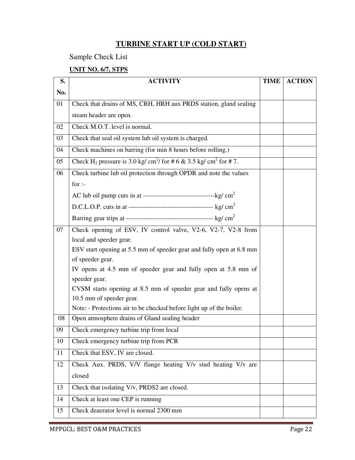#### **TURBINE START UP (COLD START)**

Sample Check List

#### **UNIT NO. 6/7, STPS**

| S.  | <b>ACTIVITY</b>                                                                                       | <b>TIME</b> | <b>ACTION</b> |  |  |
|-----|-------------------------------------------------------------------------------------------------------|-------------|---------------|--|--|
| No. |                                                                                                       |             |               |  |  |
| 01  | Check that drains of MS, CRH, HRH aux PRDS station, gland sealing                                     |             |               |  |  |
|     | steam header are open.                                                                                |             |               |  |  |
| 02  | Check M.O.T. level is normal.                                                                         |             |               |  |  |
| 03  | Check that seal oil system lub oil system is charged.                                                 |             |               |  |  |
| 04  | Check machines on barring (for min 8 hours before rolling.)                                           |             |               |  |  |
| 05  | Check H <sub>2</sub> pressure is 3.0 kg/ cm <sup>2</sup> / for # 6 & 3.5 kg/ cm <sup>2</sup> for # 7. |             |               |  |  |
| 06  | Check turbine lub oil protection through OPDR and note the values                                     |             |               |  |  |
|     | for $:$                                                                                               |             |               |  |  |
|     |                                                                                                       |             |               |  |  |
|     |                                                                                                       |             |               |  |  |
|     |                                                                                                       |             |               |  |  |
| 07  | Check opening of ESV, IV control valve, V2-6, V2-7, V2-8 from                                         |             |               |  |  |
|     | local and speeder gear.                                                                               |             |               |  |  |
|     | ESV start opening at 5.5 mm of speeder gear and fully open at 6.8 mm                                  |             |               |  |  |
|     | of speeder gear.                                                                                      |             |               |  |  |
|     | IV opens at 4.5 mm of speeder gear and fully open at 5.8 mm of                                        |             |               |  |  |
|     | speeder gear.                                                                                         |             |               |  |  |
|     | CVSM starts opening at 8.5 mm of speeder gear and fully opens at                                      |             |               |  |  |
|     | 10.5 mm of speeder gear.                                                                              |             |               |  |  |
|     | Note: - Protections air to be checked before light up of the boiler.                                  |             |               |  |  |
| 08  | Open atmosphere drains of Gland sealing header                                                        |             |               |  |  |
| 09  | Check emergency turbine trip from local                                                               |             |               |  |  |
| 10  | Check emergency turbine trip from PCR                                                                 |             |               |  |  |
| 11  | Check that ESV, IV are closed.                                                                        |             |               |  |  |
| 12  | Check Aux. PRDS, V/V flange heating V/v stud heating V/v are                                          |             |               |  |  |
|     | closed                                                                                                |             |               |  |  |
| 13  | Check that isolating V/v, PRDS2 are closed.                                                           |             |               |  |  |
| 14  | Check at least one CEP is running                                                                     |             |               |  |  |
| 15  | Check deaerator level is normal 2300 mm                                                               |             |               |  |  |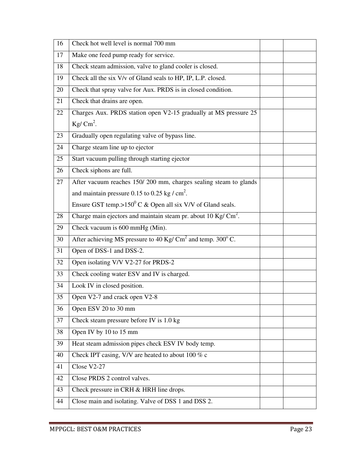| 16 | Check hot well level is normal 700 mm                                             |  |  |  |  |
|----|-----------------------------------------------------------------------------------|--|--|--|--|
| 17 | Make one feed pump ready for service.                                             |  |  |  |  |
| 18 | Check steam admission, valve to gland cooler is closed.                           |  |  |  |  |
| 19 | Check all the six V/v of Gland seals to HP, IP, L.P. closed.                      |  |  |  |  |
| 20 | Check that spray valve for Aux. PRDS is in closed condition.                      |  |  |  |  |
| 21 | Check that drains are open.                                                       |  |  |  |  |
| 22 | Charges Aux. PRDS station open V2-15 gradually at MS pressure 25                  |  |  |  |  |
|    | Kg/ $\text{Cm}^2$ .                                                               |  |  |  |  |
| 23 | Gradually open regulating valve of bypass line.                                   |  |  |  |  |
| 24 | Charge steam line up to ejector                                                   |  |  |  |  |
| 25 | Start vacuum pulling through starting ejector                                     |  |  |  |  |
| 26 | Check siphons are full.                                                           |  |  |  |  |
| 27 | After vacuum reaches 150/200 mm, charges sealing steam to glands                  |  |  |  |  |
|    | and maintain pressure 0.15 to 0.25 kg / $\text{cm}^2$ .                           |  |  |  |  |
|    | Ensure GST temp.> $150^{\circ}$ C & Open all six V/V of Gland seals.              |  |  |  |  |
| 28 | Charge main ejectors and maintain steam pr. about $10 \text{ Kg/} \text{ cm}^2$ . |  |  |  |  |
| 29 | Check vacuum is 600 mmHg (Min).                                                   |  |  |  |  |
| 30 | After achieving MS pressure to 40 Kg/ $\text{Cm}^2$ and temp. 300 $\text{°C}$ .   |  |  |  |  |
| 31 | Open of DSS-1 and DSS-2.                                                          |  |  |  |  |
| 32 | Open isolating V/V V2-27 for PRDS-2                                               |  |  |  |  |
| 33 | Check cooling water ESV and IV is charged.                                        |  |  |  |  |
| 34 | Look IV in closed position.                                                       |  |  |  |  |
| 35 | Open V2-7 and crack open V2-8                                                     |  |  |  |  |
| 36 | Open ESV 20 to 30 mm                                                              |  |  |  |  |
| 37 | Check steam pressure before IV is 1.0 kg                                          |  |  |  |  |
| 38 | Open IV by 10 to 15 mm                                                            |  |  |  |  |
| 39 | Heat steam admission pipes check ESV IV body temp.                                |  |  |  |  |
| 40 | Check IPT casing, V/V are heated to about 100 $%$ c                               |  |  |  |  |
| 41 | Close V2-27                                                                       |  |  |  |  |
| 42 | Close PRDS 2 control valves.                                                      |  |  |  |  |
| 43 | Check pressure in CRH & HRH line drops.                                           |  |  |  |  |
| 44 | Close main and isolating. Valve of DSS 1 and DSS 2.                               |  |  |  |  |
|    |                                                                                   |  |  |  |  |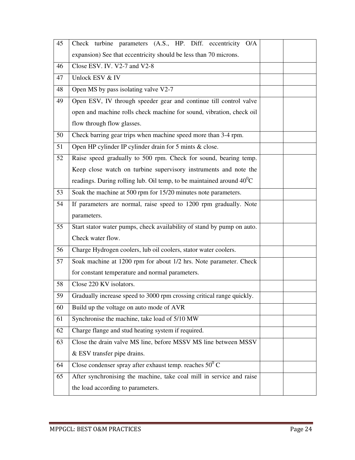| 45 | Check turbine parameters (A.S., HP. Diff. eccentricity O/A              |  |  |  |  |  |
|----|-------------------------------------------------------------------------|--|--|--|--|--|
|    | expansion) See that eccentricity should be less than 70 microns.        |  |  |  |  |  |
| 46 | Close ESV. IV. V2-7 and V2-8                                            |  |  |  |  |  |
| 47 | Unlock ESV & IV                                                         |  |  |  |  |  |
| 48 | Open MS by pass isolating valve V2-7                                    |  |  |  |  |  |
| 49 | Open ESV, IV through speeder gear and continue till control valve       |  |  |  |  |  |
|    | open and machine rolls check machine for sound, vibration, check oil    |  |  |  |  |  |
|    | flow through flow glasses.                                              |  |  |  |  |  |
| 50 | Check barring gear trips when machine speed more than 3-4 rpm.          |  |  |  |  |  |
| 51 | Open HP cylinder IP cylinder drain for 5 mints & close.                 |  |  |  |  |  |
| 52 | Raise speed gradually to 500 rpm. Check for sound, bearing temp.        |  |  |  |  |  |
|    | Keep close watch on turbine supervisory instruments and note the        |  |  |  |  |  |
|    | readings. During rolling lub. Oil temp, to be maintained around $40^0C$ |  |  |  |  |  |
| 53 | Soak the machine at 500 rpm for 15/20 minutes note parameters.          |  |  |  |  |  |
| 54 | If parameters are normal, raise speed to 1200 rpm gradually. Note       |  |  |  |  |  |
|    | parameters.                                                             |  |  |  |  |  |
| 55 | Start stator water pumps, check availability of stand by pump on auto.  |  |  |  |  |  |
|    | Check water flow.                                                       |  |  |  |  |  |
| 56 | Charge Hydrogen coolers, lub oil coolers, stator water coolers.         |  |  |  |  |  |
| 57 | Soak machine at 1200 rpm for about 1/2 hrs. Note parameter. Check       |  |  |  |  |  |
|    | for constant temperature and normal parameters.                         |  |  |  |  |  |
| 58 | Close 220 KV isolators.                                                 |  |  |  |  |  |
| 59 | Gradually increase speed to 3000 rpm crossing critical range quickly.   |  |  |  |  |  |
| 60 | Build up the voltage on auto mode of AVR                                |  |  |  |  |  |
| 61 | Synchronise the machine, take load of 5/10 MW                           |  |  |  |  |  |
| 62 | Charge flange and stud heating system if required.                      |  |  |  |  |  |
| 63 | Close the drain valve MS line, before MSSV MS line between MSSV         |  |  |  |  |  |
|    | & ESV transfer pipe drains.                                             |  |  |  |  |  |
| 64 | Close condenser spray after exhaust temp. reaches $50^0$ C              |  |  |  |  |  |
| 65 | After synchronising the machine, take coal mill in service and raise    |  |  |  |  |  |
|    | the load according to parameters.                                       |  |  |  |  |  |
|    |                                                                         |  |  |  |  |  |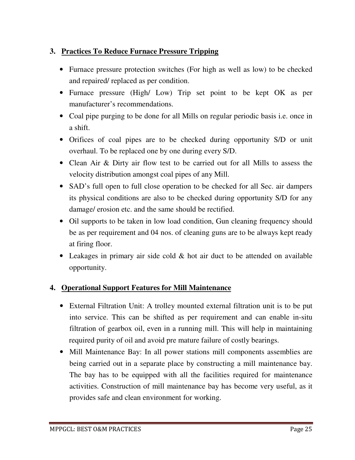#### **3. Practices To Reduce Furnace Pressure Tripping**

- Furnace pressure protection switches (For high as well as low) to be checked and repaired/ replaced as per condition.
- Furnace pressure (High/ Low) Trip set point to be kept OK as per manufacturer's recommendations.
- Coal pipe purging to be done for all Mills on regular periodic basis i.e. once in a shift.
- Orifices of coal pipes are to be checked during opportunity S/D or unit overhaul. To be replaced one by one during every S/D.
- Clean Air & Dirty air flow test to be carried out for all Mills to assess the velocity distribution amongst coal pipes of any Mill.
- SAD's full open to full close operation to be checked for all Sec. air dampers its physical conditions are also to be checked during opportunity S/D for any damage/ erosion etc. and the same should be rectified.
- Oil supports to be taken in low load condition, Gun cleaning frequency should be as per requirement and 04 nos. of cleaning guns are to be always kept ready at firing floor.
- Leakages in primary air side cold & hot air duct to be attended on available opportunity.

#### **4. Operational Support Features for Mill Maintenance**

- External Filtration Unit: A trolley mounted external filtration unit is to be put into service. This can be shifted as per requirement and can enable in-situ filtration of gearbox oil, even in a running mill. This will help in maintaining required purity of oil and avoid pre mature failure of costly bearings.
- Mill Maintenance Bay: In all power stations mill components assemblies are being carried out in a separate place by constructing a mill maintenance bay. The bay has to be equipped with all the facilities required for maintenance activities. Construction of mill maintenance bay has become very useful, as it provides safe and clean environment for working.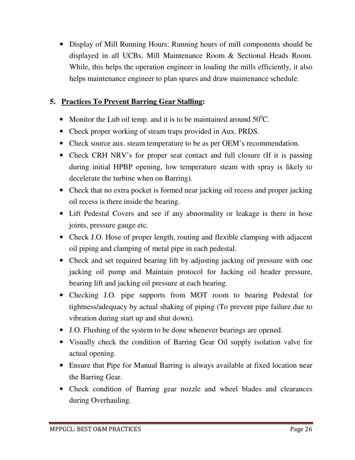• Display of Mill Running Hours: Running hours of mill components should be displayed in all UCBs, Mill Maintenance Room & Sectional Heads Room. While, this helps the operation engineer in loading the mills efficiently, it also helps maintenance engineer to plan spares and draw maintenance schedule.

#### **5. Practices To Prevent Barring Gear Stalling:**

- Monitor the Lub oil temp. and it is to be maintained around  $50^{\circ}$ C.
- Check proper working of steam traps provided in Aux. PRDS.
- Check source aux. steam temperature to be as per OEM's recommendation.
- Check CRH NRV's for proper seat contact and full closure (If it is passing during initial HPBP opening, low temperature steam with spray is likely to decelerate the turbine when on Barring).
- Check that no extra pocket is formed near jacking oil recess and proper jacking oil recess is there inside the bearing.
- Lift Pedestal Covers and see if any abnormality or leakage is there in hose joints, pressure gauge etc.
- Check J.O. Hose of proper length, routing and flexible clamping with adjacent oil piping and clamping of metal pipe in each pedestal.
- Check and set required bearing lift by adjusting jacking oil pressure with one jacking oil pump and Maintain protocol for Jacking oil header pressure, bearing lift and jacking oil pressure at each bearing.
- Checking J.O. pipe supports from MOT room to bearing Pedestal for tightness/adequacy by actual shaking of piping (To prevent pipe failure due to vibration during start up and shut down).
- J.O. Flushing of the system to be done whenever bearings are opened.
- Visually check the condition of Barring Gear Oil supply isolation valve for actual opening.
- Ensure that Pipe for Manual Barring is always available at fixed location near the Barring Gear.
- Check condition of Barring gear nozzle and wheel blades and clearances during Overhauling.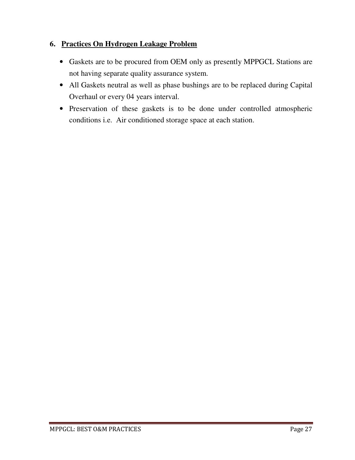#### **6. Practices On Hydrogen Leakage Problem**

- Gaskets are to be procured from OEM only as presently MPPGCL Stations are not having separate quality assurance system.
- All Gaskets neutral as well as phase bushings are to be replaced during Capital Overhaul or every 04 years interval.
- Preservation of these gaskets is to be done under controlled atmospheric conditions i.e. Air conditioned storage space at each station.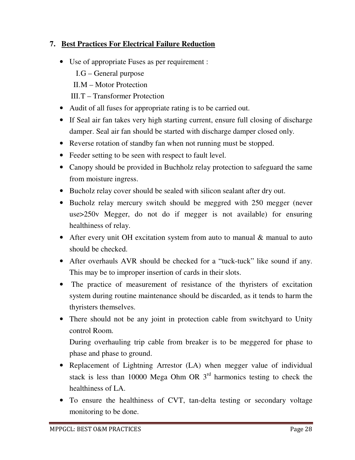#### **7. Best Practices For Electrical Failure Reduction**

- Use of appropriate Fuses as per requirement :
	- I.G General purpose
	- II.M Motor Protection
	- III.T Transformer Protection
- Audit of all fuses for appropriate rating is to be carried out.
- If Seal air fan takes very high starting current, ensure full closing of discharge damper. Seal air fan should be started with discharge damper closed only.
- Reverse rotation of standby fan when not running must be stopped.
- Feeder setting to be seen with respect to fault level.
- Canopy should be provided in Buchholz relay protection to safeguard the same from moisture ingress.
- Bucholz relay cover should be sealed with silicon sealant after dry out.
- Bucholz relay mercury switch should be meggred with 250 megger (never use>250v Megger, do not do if megger is not available) for ensuring healthiness of relay.
- After every unit OH excitation system from auto to manual & manual to auto should be checked.
- After overhauls AVR should be checked for a "tuck-tuck" like sound if any. This may be to improper insertion of cards in their slots.
- The practice of measurement of resistance of the thyristers of excitation system during routine maintenance should be discarded, as it tends to harm the thyristers themselves.
- There should not be any joint in protection cable from switchyard to Unity control Room.

During overhauling trip cable from breaker is to be meggered for phase to phase and phase to ground.

- Replacement of Lightning Arrestor (LA) when megger value of individual stack is less than 10000 Mega Ohm OR  $3<sup>rd</sup>$  harmonics testing to check the healthiness of LA.
- To ensure the healthiness of CVT, tan-delta testing or secondary voltage monitoring to be done.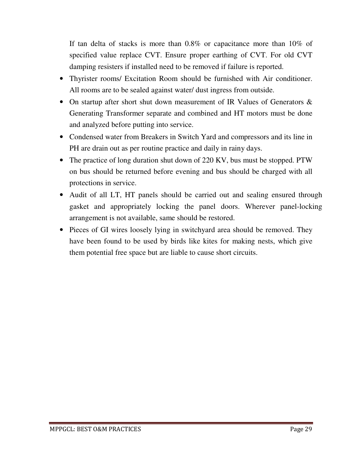If tan delta of stacks is more than 0.8% or capacitance more than 10% of specified value replace CVT. Ensure proper earthing of CVT. For old CVT damping resisters if installed need to be removed if failure is reported.

- Thyrister rooms/ Excitation Room should be furnished with Air conditioner. All rooms are to be sealed against water/ dust ingress from outside.
- On startup after short shut down measurement of IR Values of Generators  $\&$ Generating Transformer separate and combined and HT motors must be done and analyzed before putting into service.
- Condensed water from Breakers in Switch Yard and compressors and its line in PH are drain out as per routine practice and daily in rainy days.
- The practice of long duration shut down of 220 KV, bus must be stopped. PTW on bus should be returned before evening and bus should be charged with all protections in service.
- Audit of all LT, HT panels should be carried out and sealing ensured through gasket and appropriately locking the panel doors. Wherever panel-locking arrangement is not available, same should be restored.
- Pieces of GI wires loosely lying in switchyard area should be removed. They have been found to be used by birds like kites for making nests, which give them potential free space but are liable to cause short circuits.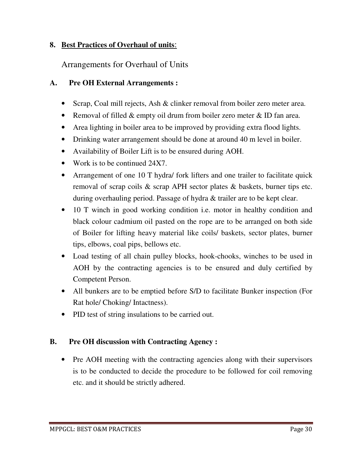#### **8. Best Practices of Overhaul of units**:

#### Arrangements for Overhaul of Units

#### **A. Pre OH External Arrangements :**

- Scrap, Coal mill rejects, Ash & clinker removal from boiler zero meter area.
- Removal of filled & empty oil drum from boiler zero meter & ID fan area.
- Area lighting in boiler area to be improved by providing extra flood lights.
- Drinking water arrangement should be done at around 40 m level in boiler.
- Availability of Boiler Lift is to be ensured during AOH.
- Work is to be continued 24X7.
- Arrangement of one 10 T hydra/ fork lifters and one trailer to facilitate quick removal of scrap coils & scrap APH sector plates & baskets, burner tips etc. during overhauling period. Passage of hydra & trailer are to be kept clear.
- 10 T winch in good working condition i.e. motor in healthy condition and black colour cadmium oil pasted on the rope are to be arranged on both side of Boiler for lifting heavy material like coils/ baskets, sector plates, burner tips, elbows, coal pips, bellows etc.
- Load testing of all chain pulley blocks, hook-chooks, winches to be used in AOH by the contracting agencies is to be ensured and duly certified by Competent Person.
- All bunkers are to be emptied before S/D to facilitate Bunker inspection (For Rat hole/ Choking/ Intactness).
- PID test of string insulations to be carried out.

#### **B. Pre OH discussion with Contracting Agency :**

• Pre AOH meeting with the contracting agencies along with their supervisors is to be conducted to decide the procedure to be followed for coil removing etc. and it should be strictly adhered.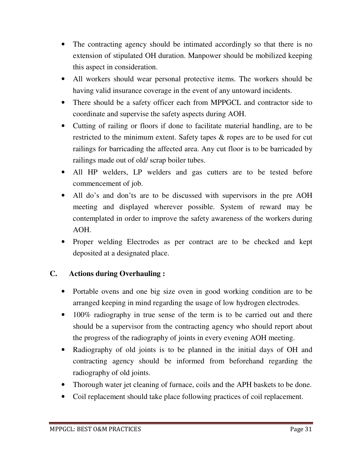- The contracting agency should be intimated accordingly so that there is no extension of stipulated OH duration. Manpower should be mobilized keeping this aspect in consideration.
- All workers should wear personal protective items. The workers should be having valid insurance coverage in the event of any untoward incidents.
- There should be a safety officer each from MPPGCL and contractor side to coordinate and supervise the safety aspects during AOH.
- Cutting of railing or floors if done to facilitate material handling, are to be restricted to the minimum extent. Safety tapes & ropes are to be used for cut railings for barricading the affected area. Any cut floor is to be barricaded by railings made out of old/ scrap boiler tubes.
- All HP welders, LP welders and gas cutters are to be tested before commencement of job.
- All do's and don'ts are to be discussed with supervisors in the pre AOH meeting and displayed wherever possible. System of reward may be contemplated in order to improve the safety awareness of the workers during AOH.
- Proper welding Electrodes as per contract are to be checked and kept deposited at a designated place.

#### **C. Actions during Overhauling :**

- Portable ovens and one big size oven in good working condition are to be arranged keeping in mind regarding the usage of low hydrogen electrodes.
- 100% radiography in true sense of the term is to be carried out and there should be a supervisor from the contracting agency who should report about the progress of the radiography of joints in every evening AOH meeting.
- Radiography of old joints is to be planned in the initial days of OH and contracting agency should be informed from beforehand regarding the radiography of old joints.
- Thorough water jet cleaning of furnace, coils and the APH baskets to be done.
- Coil replacement should take place following practices of coil replacement.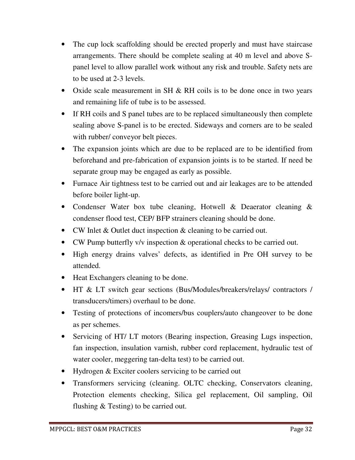- The cup lock scaffolding should be erected properly and must have staircase arrangements. There should be complete sealing at 40 m level and above Spanel level to allow parallel work without any risk and trouble. Safety nets are to be used at 2-3 levels.
- Oxide scale measurement in SH & RH coils is to be done once in two years and remaining life of tube is to be assessed.
- If RH coils and S panel tubes are to be replaced simultaneously then complete sealing above S-panel is to be erected. Sideways and corners are to be sealed with rubber/ conveyor belt pieces.
- The expansion joints which are due to be replaced are to be identified from beforehand and pre-fabrication of expansion joints is to be started. If need be separate group may be engaged as early as possible.
- Furnace Air tightness test to be carried out and air leakages are to be attended before boiler light-up.
- Condenser Water box tube cleaning, Hotwell & Deaerator cleaning & condenser flood test, CEP/ BFP strainers cleaning should be done.
- CW Inlet & Outlet duct inspection & cleaning to be carried out.
- CW Pump butterfly v/v inspection & operational checks to be carried out.
- High energy drains valves' defects, as identified in Pre OH survey to be attended.
- Heat Exchangers cleaning to be done.
- HT & LT switch gear sections (Bus/Modules/breakers/relays/ contractors / transducers/timers) overhaul to be done.
- Testing of protections of incomers/bus couplers/auto changeover to be done as per schemes.
- Servicing of HT/ LT motors (Bearing inspection, Greasing Lugs inspection, fan inspection, insulation varnish, rubber cord replacement, hydraulic test of water cooler, meggering tan-delta test) to be carried out.
- Hydrogen & Exciter coolers servicing to be carried out
- Transformers servicing (cleaning. OLTC checking, Conservators cleaning, Protection elements checking, Silica gel replacement, Oil sampling, Oil flushing & Testing) to be carried out.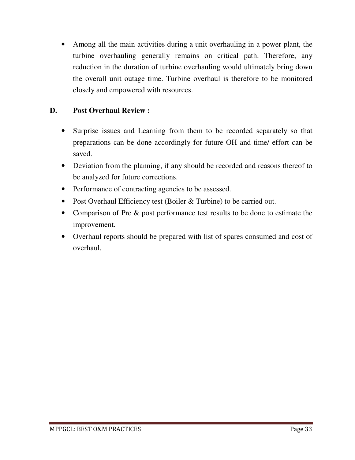• Among all the main activities during a unit overhauling in a power plant, the turbine overhauling generally remains on critical path. Therefore, any reduction in the duration of turbine overhauling would ultimately bring down the overall unit outage time. Turbine overhaul is therefore to be monitored closely and empowered with resources.

#### **D. Post Overhaul Review :**

- Surprise issues and Learning from them to be recorded separately so that preparations can be done accordingly for future OH and time/ effort can be saved.
- Deviation from the planning, if any should be recorded and reasons thereof to be analyzed for future corrections.
- Performance of contracting agencies to be assessed.
- Post Overhaul Efficiency test (Boiler & Turbine) to be carried out.
- Comparison of Pre & post performance test results to be done to estimate the improvement.
- Overhaul reports should be prepared with list of spares consumed and cost of overhaul.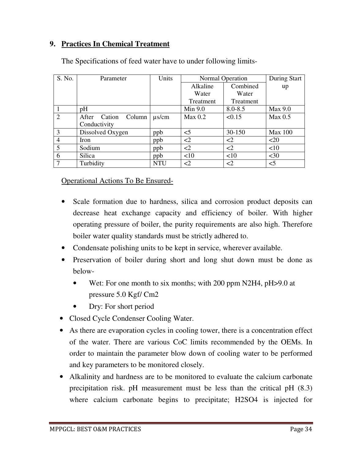#### **9. Practices In Chemical Treatment**

| S. No.         | Parameter                 | Units      | Normal Operation |             | During Start       |
|----------------|---------------------------|------------|------------------|-------------|--------------------|
|                |                           |            | Alkaline         | Combined    | up                 |
|                |                           |            | Water            | Water       |                    |
|                |                           |            | Treatment        | Treatment   |                    |
| 1              | pH                        |            | Min 9.0          | $8.0 - 8.5$ | Max 9.0            |
| $\overline{2}$ | Cation<br>After<br>Column | $\mu$ s/cm | Max 0.2          | < 0.15      | Max <sub>0.5</sub> |
|                | Conductivity              |            |                  |             |                    |
| 3              | Dissolved Oxygen          | ppb        | $<$ 5            | 30-150      | <b>Max 100</b>     |
| $\overline{4}$ | Iron                      | ppb        | $\leq$ 2         | $\leq$ 2    | <20                |
| 5              | Sodium                    | ppb        | $\leq$ 2         | $\leq$ 2    | <10                |
| 6              | Silica                    | ppb        | <10              | <10         | $30$               |
| 7              | Turbidity                 | <b>NTU</b> | <2               | $\leq$ 2    | $<$ 5              |

The Specifications of feed water have to under following limits-

Operational Actions To Be Ensured-

- Scale formation due to hardness, silica and corrosion product deposits can decrease heat exchange capacity and efficiency of boiler. With higher operating pressure of boiler, the purity requirements are also high. Therefore boiler water quality standards must be strictly adhered to.
- Condensate polishing units to be kept in service, wherever available.
- Preservation of boiler during short and long shut down must be done as below-
	- Wet: For one month to six months; with 200 ppm N2H4, pH>9.0 at pressure 5.0 Kgf/ Cm2
	- Dry: For short period
- Closed Cycle Condenser Cooling Water.
- As there are evaporation cycles in cooling tower, there is a concentration effect of the water. There are various CoC limits recommended by the OEMs. In order to maintain the parameter blow down of cooling water to be performed and key parameters to be monitored closely.
- Alkalinity and hardness are to be monitored to evaluate the calcium carbonate precipitation risk. pH measurement must be less than the critical pH (8.3) where calcium carbonate begins to precipitate; H2SO4 is injected for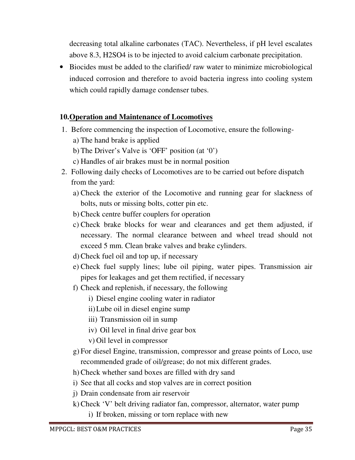decreasing total alkaline carbonates (TAC). Nevertheless, if pH level escalates above 8.3, H2SO4 is to be injected to avoid calcium carbonate precipitation.

• Biocides must be added to the clarified/ raw water to minimize microbiological induced corrosion and therefore to avoid bacteria ingress into cooling system which could rapidly damage condenser tubes.

#### **10.Operation and Maintenance of Locomotives**

- 1. Before commencing the inspection of Locomotive, ensure the following
	- a) The hand brake is applied
	- b) The Driver's Valve is 'OFF' position (at '0')
	- c) Handles of air brakes must be in normal position
- 2. Following daily checks of Locomotives are to be carried out before dispatch from the yard:
	- a) Check the exterior of the Locomotive and running gear for slackness of bolts, nuts or missing bolts, cotter pin etc.
	- b) Check centre buffer couplers for operation
	- c) Check brake blocks for wear and clearances and get them adjusted, if necessary. The normal clearance between and wheel tread should not exceed 5 mm. Clean brake valves and brake cylinders.
	- d) Check fuel oil and top up, if necessary
	- e) Check fuel supply lines; lube oil piping, water pipes. Transmission air pipes for leakages and get them rectified, if necessary
	- f) Check and replenish, if necessary, the following
		- i) Diesel engine cooling water in radiator
		- ii)Lube oil in diesel engine sump
		- iii) Transmission oil in sump
		- iv) Oil level in final drive gear box
		- v) Oil level in compressor
	- g) For diesel Engine, transmission, compressor and grease points of Loco, use recommended grade of oil/grease; do not mix different grades.
	- h) Check whether sand boxes are filled with dry sand
	- i) See that all cocks and stop valves are in correct position
	- j) Drain condensate from air reservoir
	- k) Check 'V' belt driving radiator fan, compressor, alternator, water pump
		- i) If broken, missing or torn replace with new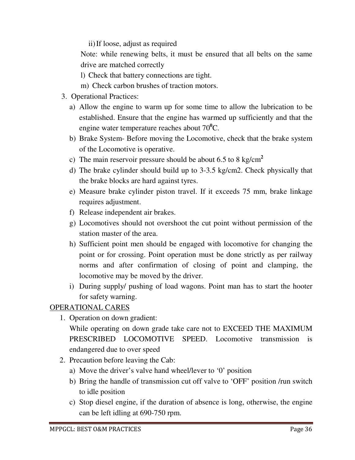ii)If loose, adjust as required

Note: while renewing belts, it must be ensured that all belts on the same drive are matched correctly

- l) Check that battery connections are tight.
- m) Check carbon brushes of traction motors.
- 3. Operational Practices:
	- a) Allow the engine to warm up for some time to allow the lubrication to be established. Ensure that the engine has warmed up sufficiently and that the engine water temperature reaches about 70**<sup>0</sup>**C.
	- b) Brake System- Before moving the Locomotive, check that the brake system of the Locomotive is operative.
	- c) The main reservoir pressure should be about 6.5 to 8 kg/cm**<sup>2</sup>**
	- d) The brake cylinder should build up to 3-3.5 kg/cm2. Check physically that the brake blocks are hard against tyres.
	- e) Measure brake cylinder piston travel. If it exceeds 75 mm, brake linkage requires adjustment.
	- f) Release independent air brakes.
	- g) Locomotives should not overshoot the cut point without permission of the station master of the area.
	- h) Sufficient point men should be engaged with locomotive for changing the point or for crossing. Point operation must be done strictly as per railway norms and after confirmation of closing of point and clamping, the locomotive may be moved by the driver.
	- i) During supply/ pushing of load wagons. Point man has to start the hooter for safety warning.

#### OPERATIONAL CARES

1. Operation on down gradient:

While operating on down grade take care not to EXCEED THE MAXIMUM PRESCRIBED LOCOMOTIVE SPEED. Locomotive transmission is endangered due to over speed

- 2. Precaution before leaving the Cab:
	- a) Move the driver's valve hand wheel/lever to '0' position
	- b) Bring the handle of transmission cut off valve to 'OFF' position /run switch to idle position
	- c) Stop diesel engine, if the duration of absence is long, otherwise, the engine can be left idling at 690-750 rpm.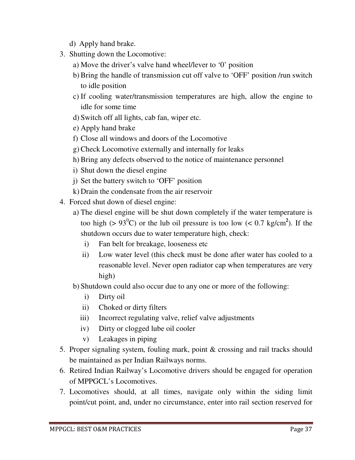- d) Apply hand brake.
- 3. Shutting down the Locomotive:
	- a) Move the driver's valve hand wheel/lever to '0' position
	- b) Bring the handle of transmission cut off valve to 'OFF' position /run switch to idle position
	- c) If cooling water/transmission temperatures are high, allow the engine to idle for some time
	- d) Switch off all lights, cab fan, wiper etc.
	- e) Apply hand brake
	- f) Close all windows and doors of the Locomotive
	- g) Check Locomotive externally and internally for leaks
	- h) Bring any defects observed to the notice of maintenance personnel
	- i) Shut down the diesel engine
	- j) Set the battery switch to 'OFF' position
	- k) Drain the condensate from the air reservoir
- 4. Forced shut down of diesel engine:
	- a) The diesel engine will be shut down completely if the water temperature is too high ( $> 93^{\circ}$ C) or the lub oil pressure is too low ( $< 0.7$  kg/cm<sup>2</sup>). If the shutdown occurs due to water temperature high, check:
		- i) Fan belt for breakage, looseness etc
		- ii) Low water level (this check must be done after water has cooled to a reasonable level. Never open radiator cap when temperatures are very high)
	- b) Shutdown could also occur due to any one or more of the following:
		- i) Dirty oil
		- ii) Choked or dirty filters
		- iii) Incorrect regulating valve, relief valve adjustments
		- iv) Dirty or clogged lube oil cooler
		- v) Leakages in piping
- 5. Proper signaling system, fouling mark, point & crossing and rail tracks should be maintained as per Indian Railways norms.
- 6. Retired Indian Railway's Locomotive drivers should be engaged for operation of MPPGCL's Locomotives.
- 7. Locomotives should, at all times, navigate only within the siding limit point/cut point, and, under no circumstance, enter into rail section reserved for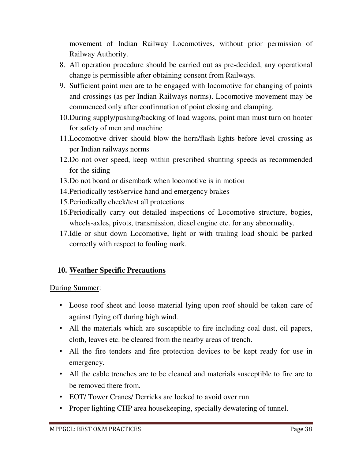movement of Indian Railway Locomotives, without prior permission of Railway Authority.

- 8. All operation procedure should be carried out as pre-decided, any operational change is permissible after obtaining consent from Railways.
- 9. Sufficient point men are to be engaged with locomotive for changing of points and crossings (as per Indian Railways norms). Locomotive movement may be commenced only after confirmation of point closing and clamping.
- 10.During supply/pushing/backing of load wagons, point man must turn on hooter for safety of men and machine
- 11.Locomotive driver should blow the horn/flash lights before level crossing as per Indian railways norms
- 12.Do not over speed, keep within prescribed shunting speeds as recommended for the siding
- 13.Do not board or disembark when locomotive is in motion
- 14.Periodically test/service hand and emergency brakes
- 15.Periodically check/test all protections
- 16.Periodically carry out detailed inspections of Locomotive structure, bogies, wheels-axles, pivots, transmission, diesel engine etc. for any abnormality.
- 17.Idle or shut down Locomotive, light or with trailing load should be parked correctly with respect to fouling mark.

#### **10. Weather Specific Precautions**

#### During Summer:

- Loose roof sheet and loose material lying upon roof should be taken care of against flying off during high wind.
- All the materials which are susceptible to fire including coal dust, oil papers, cloth, leaves etc. be cleared from the nearby areas of trench.
- All the fire tenders and fire protection devices to be kept ready for use in emergency.
- All the cable trenches are to be cleaned and materials susceptible to fire are to be removed there from.
- EOT/ Tower Cranes/ Derricks are locked to avoid over run.
- Proper lighting CHP area housekeeping, specially dewatering of tunnel.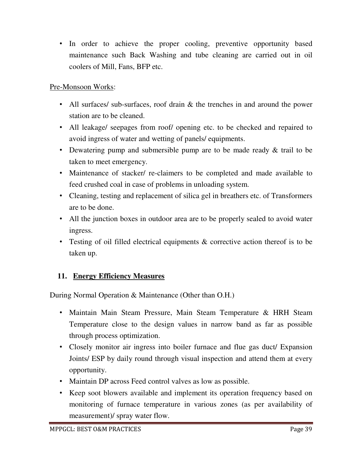• In order to achieve the proper cooling, preventive opportunity based maintenance such Back Washing and tube cleaning are carried out in oil coolers of Mill, Fans, BFP etc.

#### Pre-Monsoon Works:

- All surfaces/ sub-surfaces, roof drain & the trenches in and around the power station are to be cleaned.
- All leakage/ seepages from roof/ opening etc. to be checked and repaired to avoid ingress of water and wetting of panels/ equipments.
- Dewatering pump and submersible pump are to be made ready & trail to be taken to meet emergency.
- Maintenance of stacker/ re-claimers to be completed and made available to feed crushed coal in case of problems in unloading system.
- Cleaning, testing and replacement of silica gel in breathers etc. of Transformers are to be done.
- All the junction boxes in outdoor area are to be properly sealed to avoid water ingress.
- Testing of oil filled electrical equipments & corrective action thereof is to be taken up.

#### **11. Energy Efficiency Measures**

During Normal Operation & Maintenance (Other than O.H.)

- Maintain Main Steam Pressure, Main Steam Temperature & HRH Steam Temperature close to the design values in narrow band as far as possible through process optimization.
- Closely monitor air ingress into boiler furnace and flue gas duct/ Expansion Joints/ ESP by daily round through visual inspection and attend them at every opportunity.
- Maintain DP across Feed control valves as low as possible.
- Keep soot blowers available and implement its operation frequency based on monitoring of furnace temperature in various zones (as per availability of measurement)/ spray water flow.